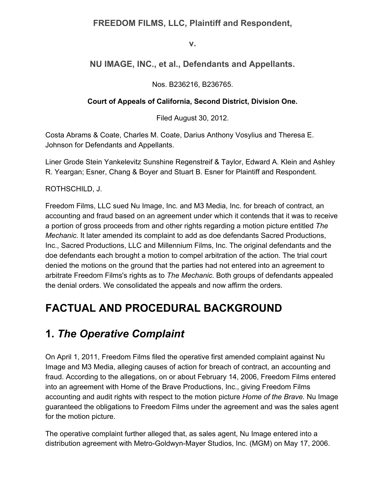### **FREEDOM FILMS, LLC, Plaintiff and Respondent,**

**v.**

### **NU IMAGE, INC., et al., Defendants and Appellants.**

Nos. B236216, B236765.

#### **Court of Appeals of California, Second District, Division One.**

Filed August 30, 2012.

Costa Abrams & Coate, Charles M. Coate, Darius Anthony Vosylius and Theresa E. Johnson for Defendants and Appellants.

Liner Grode Stein Yankelevitz Sunshine Regenstreif & Taylor, Edward A. Klein and Ashley R. Yeargan; Esner, Chang & Boyer and Stuart B. Esner for Plaintiff and Respondent.

#### ROTHSCHILD, J.

Freedom Films, LLC sued Nu Image, Inc. and M3 Media, Inc. for breach of contract, an accounting and fraud based on an agreement under which it contends that it was to receive a portion of gross proceeds from and other rights regarding a motion picture entitled *The Mechanic.* It later amended its complaint to add as doe defendants Sacred Productions, Inc., Sacred Productions, LLC and Millennium Films, Inc. The original defendants and the doe defendants each brought a motion to compel arbitration of the action. The trial court denied the motions on the ground that the parties had not entered into an agreement to arbitrate Freedom Films's rights as to *The Mechanic.* Both groups of defendants appealed the denial orders. We consolidated the appeals and now affirm the orders.

## **FACTUAL AND PROCEDURAL BACKGROUND**

## **1.** *The Operative Complaint*

On April 1, 2011, Freedom Films filed the operative first amended complaint against Nu Image and M3 Media, alleging causes of action for breach of contract, an accounting and fraud. According to the allegations, on or about February 14, 2006, Freedom Films entered into an agreement with Home of the Brave Productions, Inc., giving Freedom Films accounting and audit rights with respect to the motion picture *Home of the Brave.* Nu Image guaranteed the obligations to Freedom Films under the agreement and was the sales agent for the motion picture.

The operative complaint further alleged that, as sales agent, Nu Image entered into a distribution agreement with Metro-Goldwyn-Mayer Studios, Inc. (MGM) on May 17, 2006.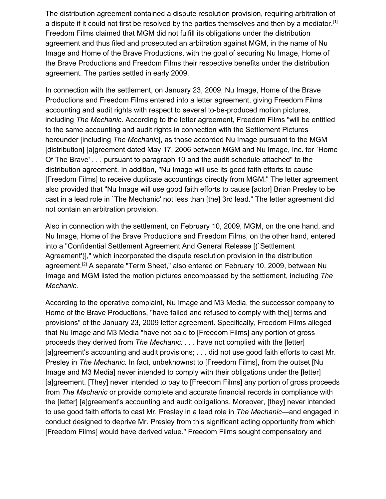The distribution agreement contained a dispute resolution provision, requiring arbitration of a dispute if it could not first be resolved by the parties themselves and then by a mediator.<sup>[1]</sup> Freedom Films claimed that MGM did not fulfill its obligations under the distribution agreement and thus filed and prosecuted an arbitration against MGM, in the name of Nu Image and Home of the Brave Productions, with the goal of securing Nu Image, Home of the Brave Productions and Freedom Films their respective benefits under the distribution agreement. The parties settled in early 2009.

In connection with the settlement, on January 23, 2009, Nu Image, Home of the Brave Productions and Freedom Films entered into a letter agreement, giving Freedom Films accounting and audit rights with respect to several to-be-produced motion pictures, including *The Mechanic.* According to the letter agreement, Freedom Films "will be entitled to the same accounting and audit rights in connection with the Settlement Pictures hereunder [including *The Mechanic*], as those accorded Nu Image pursuant to the MGM [distribution] [a]greement dated May 17, 2006 between MGM and Nu Image, Inc. for `Home Of The Brave' . . . pursuant to paragraph 10 and the audit schedule attached" to the distribution agreement. In addition, "Nu Image will use its good faith efforts to cause [Freedom Films] to receive duplicate accountings directly from MGM." The letter agreement also provided that "Nu Image will use good faith efforts to cause [actor] Brian Presley to be cast in a lead role in `The Mechanic' not less than [the] 3rd lead." The letter agreement did not contain an arbitration provision.

Also in connection with the settlement, on February 10, 2009, MGM, on the one hand, and Nu Image, Home of the Brave Productions and Freedom Films, on the other hand, entered into a "Confidential Settlement Agreement And General Release [(`Settlement Agreement')]," which incorporated the dispute resolution provision in the distribution agreement.<sup>[2]</sup> A separate "Term Sheet," also entered on February 10, 2009, between Nu Image and MGM listed the motion pictures encompassed by the settlement, including *The Mechanic.*

According to the operative complaint, Nu Image and M3 Media, the successor company to Home of the Brave Productions, "have failed and refused to comply with the[] terms and provisions" of the January 23, 2009 letter agreement. Specifically, Freedom Films alleged that Nu Image and M3 Media "have not paid to [Freedom Films] any portion of gross proceeds they derived from *The Mechanic;* . . . have not complied with the [letter] [a]greement's accounting and audit provisions; . . . did not use good faith efforts to cast Mr. Presley in *The Mechanic.* In fact, unbeknownst to [Freedom Films], from the outset [Nu Image and M3 Media] never intended to comply with their obligations under the [letter] [a]greement. [They] never intended to pay to [Freedom Films] any portion of gross proceeds from *The Mechanic* or provide complete and accurate financial records in compliance with the [letter] [a]greement's accounting and audit obligations. Moreover, [they] never intended to use good faith efforts to cast Mr. Presley in a lead role in *The Mechanic*—and engaged in conduct designed to deprive Mr. Presley from this significant acting opportunity from which [Freedom Films] would have derived value." Freedom Films sought compensatory and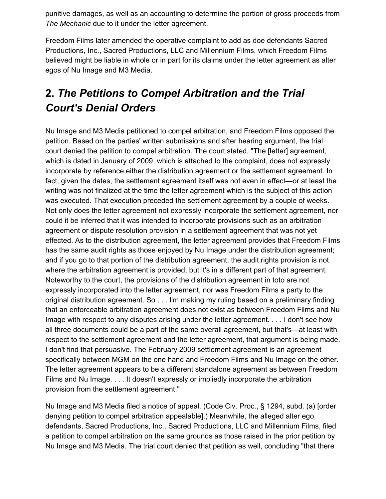punitive damages, as well as an accounting to determine the portion of gross proceeds from *The Mechanic* due to it under the letter agreement.

Freedom Films later amended the operative complaint to add as doe defendants Sacred Productions, Inc., Sacred Productions, LLC and Millennium Films, which Freedom Films believed might be liable in whole or in part for its claims under the letter agreement as alter egos of Nu Image and M3 Media.

# **2.** *The Petitions to Compel Arbitration and the Trial Court's Denial Orders*

Nu Image and M3 Media petitioned to compel arbitration, and Freedom Films opposed the petition. Based on the parties' written submissions and after hearing argument, the trial court denied the petition to compel arbitration. The court stated, "The [letter] agreement, which is dated in January of 2009, which is attached to the complaint, does not expressly incorporate by reference either the distribution agreement or the settlement agreement. In fact, given the dates, the settlement agreement itself was not even in effect—or at least the writing was not finalized at the time the letter agreement which is the subject of this action was executed. That execution preceded the settlement agreement by a couple of weeks. Not only does the letter agreement not expressly incorporate the settlement agreement, nor could it be inferred that it was intended to incorporate provisions such as an arbitration agreement or dispute resolution provision in a settlement agreement that was not yet effected. As to the distribution agreement, the letter agreement provides that Freedom Films has the same audit rights as those enjoyed by Nu Image under the distribution agreement; and if you go to that portion of the distribution agreement, the audit rights provision is not where the arbitration agreement is provided, but it's in a different part of that agreement. Noteworthy to the court, the provisions of the distribution agreement in toto are not expressly incorporated into the letter agreement, nor was Freedom Films a party to the original distribution agreement. So . . . I'm making my ruling based on a preliminary finding that an enforceable arbitration agreement does not exist as between Freedom Films and Nu Image with respect to any disputes arising under the letter agreement. . . . I don't see how all three documents could be a part of the same overall agreement, but that's—at least with respect to the settlement agreement and the letter agreement, that argument is being made. I don't find that persuasive. The February 2009 settlement agreement is an agreement specifically between MGM on the one hand and Freedom Films and Nu Image on the other. The letter agreement appears to be a different standalone agreement as between Freedom Films and Nu Image. . . . It doesn't expressly or impliedly incorporate the arbitration provision from the settlement agreement."

Nu Image and M3 Media filed a notice of appeal. (Code Civ. Proc., § 1294, subd. (a) [order denying petition to compel arbitration appealable].) Meanwhile, the alleged alter ego defendants, Sacred Productions, Inc., Sacred Productions, LLC and Millennium Films, filed a petition to compel arbitration on the same grounds as those raised in the prior petition by Nu Image and M3 Media. The trial court denied that petition as well, concluding "that there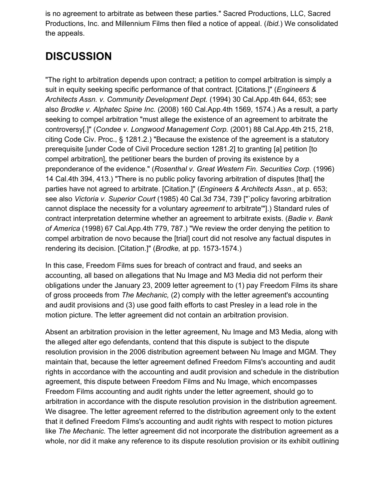is no agreement to arbitrate as between these parties." Sacred Productions, LLC, Sacred Productions, Inc. and Millennium Films then filed a notice of appeal. (*Ibid.*) We consolidated the appeals.

# **DISCUSSION**

"The right to arbitration depends upon contract; a petition to compel arbitration is simply a suit in equity seeking specific performance of that contract. [Citations.]" (*Engineers & Architects Assn. v. Community Development Dept.* (1994) 30 Cal.App.4th 644, 653; see also *Brodke v. Alphatec Spine Inc.* (2008) 160 Cal.App.4th 1569, 1574.) As a result, a party seeking to compel arbitration "must allege the existence of an agreement to arbitrate the controversy[.]" (*Condee v. Longwood Management Corp.* (2001) 88 Cal.App.4th 215, 218, citing Code Civ. Proc., § 1281.2.) "Because the existence of the agreement is a statutory prerequisite [under Code of Civil Procedure section 1281.2] to granting [a] petition [to compel arbitration], the petitioner bears the burden of proving its existence by a preponderance of the evidence." (*Rosenthal v. Great Western Fin. Securities Corp.* (1996) 14 Cal.4th 394, 413.) "There is no public policy favoring arbitration of disputes [that] the parties have not agreed to arbitrate. [Citation.]" (*Engineers & Architects Assn*., at p. 653; see also *Victoria v. Superior Court* (1985) 40 Cal.3d 734, 739 ["`policy favoring arbitration cannot displace the necessity for a voluntary *agreement* to arbitrate'"].) Standard rules of contract interpretation determine whether an agreement to arbitrate exists. (*Badie v. Bank of America* (1998) 67 Cal.App.4th 779, 787.) "We review the order denying the petition to compel arbitration de novo because the [trial] court did not resolve any factual disputes in rendering its decision. [Citation.]" (*Brodke,* at pp. 1573-1574.)

In this case, Freedom Films sues for breach of contract and fraud, and seeks an accounting, all based on allegations that Nu Image and M3 Media did not perform their obligations under the January 23, 2009 letter agreement to (1) pay Freedom Films its share of gross proceeds from *The Mechanic,* (2) comply with the letter agreement's accounting and audit provisions and (3) use good faith efforts to cast Presley in a lead role in the motion picture. The letter agreement did not contain an arbitration provision.

Absent an arbitration provision in the letter agreement, Nu Image and M3 Media, along with the alleged alter ego defendants, contend that this dispute is subject to the dispute resolution provision in the 2006 distribution agreement between Nu Image and MGM. They maintain that, because the letter agreement defined Freedom Films's accounting and audit rights in accordance with the accounting and audit provision and schedule in the distribution agreement, this dispute between Freedom Films and Nu Image, which encompasses Freedom Films accounting and audit rights under the letter agreement, should go to arbitration in accordance with the dispute resolution provision in the distribution agreement. We disagree. The letter agreement referred to the distribution agreement only to the extent that it defined Freedom Films's accounting and audit rights with respect to motion pictures like *The Mechanic.* The letter agreement did not incorporate the distribution agreement as a whole, nor did it make any reference to its dispute resolution provision or its exhibit outlining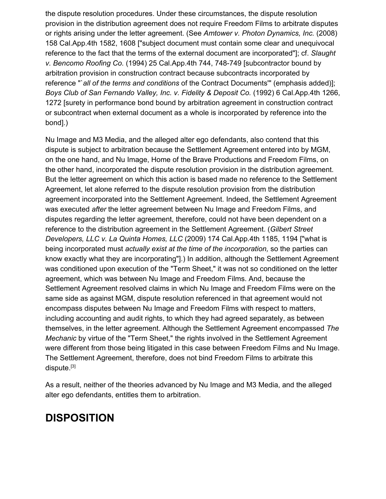the dispute resolution procedures. Under these circumstances, the dispute resolution provision in the distribution agreement does not require Freedom Films to arbitrate disputes or rights arising under the letter agreement. (See *Amtower v. Photon Dynamics, Inc.* (2008) 158 Cal.App.4th 1582, 1608 ["subject document must contain some clear and unequivocal reference to the fact that the terms of the external document are incorporated"]; cf. *Slaught v. Bencomo Roofing Co.* (1994) 25 Cal.App.4th 744, 748-749 [subcontractor bound by arbitration provision in construction contract because subcontracts incorporated by reference "`*all of the terms and conditions* of the Contract Documents'" (emphasis added)]; *Boys Club of San Fernando Valley, Inc. v. Fidelity & Deposit Co.* (1992) 6 Cal.App.4th 1266, 1272 [surety in performance bond bound by arbitration agreement in construction contract or subcontract when external document as a whole is incorporated by reference into the bond].)

Nu Image and M3 Media, and the alleged alter ego defendants, also contend that this dispute is subject to arbitration because the Settlement Agreement entered into by MGM, on the one hand, and Nu Image, Home of the Brave Productions and Freedom Films, on the other hand, incorporated the dispute resolution provision in the distribution agreement. But the letter agreement on which this action is based made no reference to the Settlement Agreement, let alone referred to the dispute resolution provision from the distribution agreement incorporated into the Settlement Agreement. Indeed, the Settlement Agreement was executed *after* the letter agreement between Nu Image and Freedom Films, and disputes regarding the letter agreement, therefore, could not have been dependent on a reference to the distribution agreement in the Settlement Agreement. (*Gilbert Street Developers, LLC v. La Quinta Homes, LLC* (2009) 174 Cal.App.4th 1185, 1194 ["what is being incorporated must *actually exist at the time of the incorporation,* so the parties can know exactly what they are incorporating"].) In addition, although the Settlement Agreement was conditioned upon execution of the "Term Sheet," it was not so conditioned on the letter agreement, which was between Nu Image and Freedom Films. And, because the Settlement Agreement resolved claims in which Nu Image and Freedom Films were on the same side as against MGM, dispute resolution referenced in that agreement would not encompass disputes between Nu Image and Freedom Films with respect to matters, including accounting and audit rights, to which they had agreed separately, as between themselves, in the letter agreement. Although the Settlement Agreement encompassed *The Mechanic* by virtue of the "Term Sheet," the rights involved in the Settlement Agreement were different from those being litigated in this case between Freedom Films and Nu Image. The Settlement Agreement, therefore, does not bind Freedom Films to arbitrate this dispute.[3]

As a result, neither of the theories advanced by Nu Image and M3 Media, and the alleged alter ego defendants, entitles them to arbitration.

## **DISPOSITION**